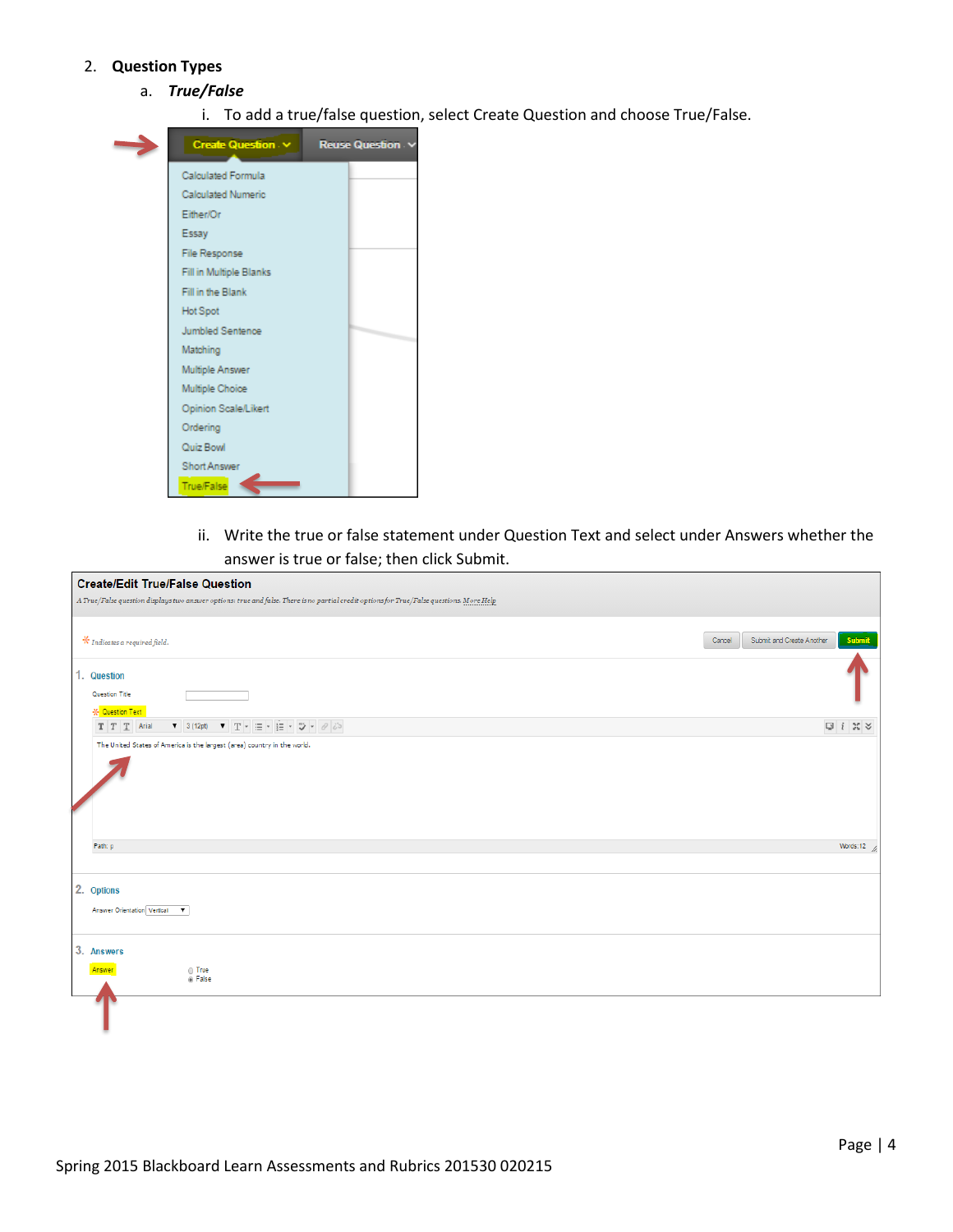## 2. **Question Types**

- a. *True/False*
	- i. To add a true/false question, select Create Question and choose True/False.



ii. Write the true or false statement under Question Text and select under Answers whether the answer is true or false; then click Submit.

| <b>Create/Edit True/False Question</b>                                                                                                                                                                                                                                                                                                                                                                                                                                                                             |                                               |
|--------------------------------------------------------------------------------------------------------------------------------------------------------------------------------------------------------------------------------------------------------------------------------------------------------------------------------------------------------------------------------------------------------------------------------------------------------------------------------------------------------------------|-----------------------------------------------|
| A True/False question displays two answer options: true and false. There is no partial credit options for True/False questions. More Help                                                                                                                                                                                                                                                                                                                                                                          |                                               |
| $\mathcal{\mathcal{R}}$ Indicates a required field.<br>1. Question                                                                                                                                                                                                                                                                                                                                                                                                                                                 | Submit<br>Submit and Create Another<br>Cancel |
| Question Title<br><b>X</b> Question Text                                                                                                                                                                                                                                                                                                                                                                                                                                                                           |                                               |
| $\mathbf{v} = 3 \text{ (12pt)} \qquad \mathbf{v} = \mathbf{T} + \exists \Xi = \mathbf{v} \quad \exists \Xi = \mathbf{v} \quad \forall \mathbf{v} = \mathcal{O} \quad \text{if} \quad \Sigma = \mathbf{v} \quad \text{if} \quad \mathbf{v} = \mathcal{O} \quad \text{if} \quad \mathbf{v} = \mathcal{O} \quad \text{if} \quad \mathbf{v} = \mathcal{O} \quad \text{if} \quad \mathbf{v} = \mathcal{O} \quad \text{if} \quad \mathbf{v} = \mathcal{O} \quad \text{if} \quad \mathbf{v} = \math$<br>$T$ $T$ $T$ Arial |                                               |
| The United States of America is the largest (area) country in the world.                                                                                                                                                                                                                                                                                                                                                                                                                                           |                                               |
| Path: p                                                                                                                                                                                                                                                                                                                                                                                                                                                                                                            | Words:12 $\frac{1}{\sqrt{2}}$                 |
| 2. Options<br>Answer Orientation Vertical V                                                                                                                                                                                                                                                                                                                                                                                                                                                                        |                                               |
| 3. Answers<br>$\odot$ True<br>Answer<br><sup>®</sup> False                                                                                                                                                                                                                                                                                                                                                                                                                                                         |                                               |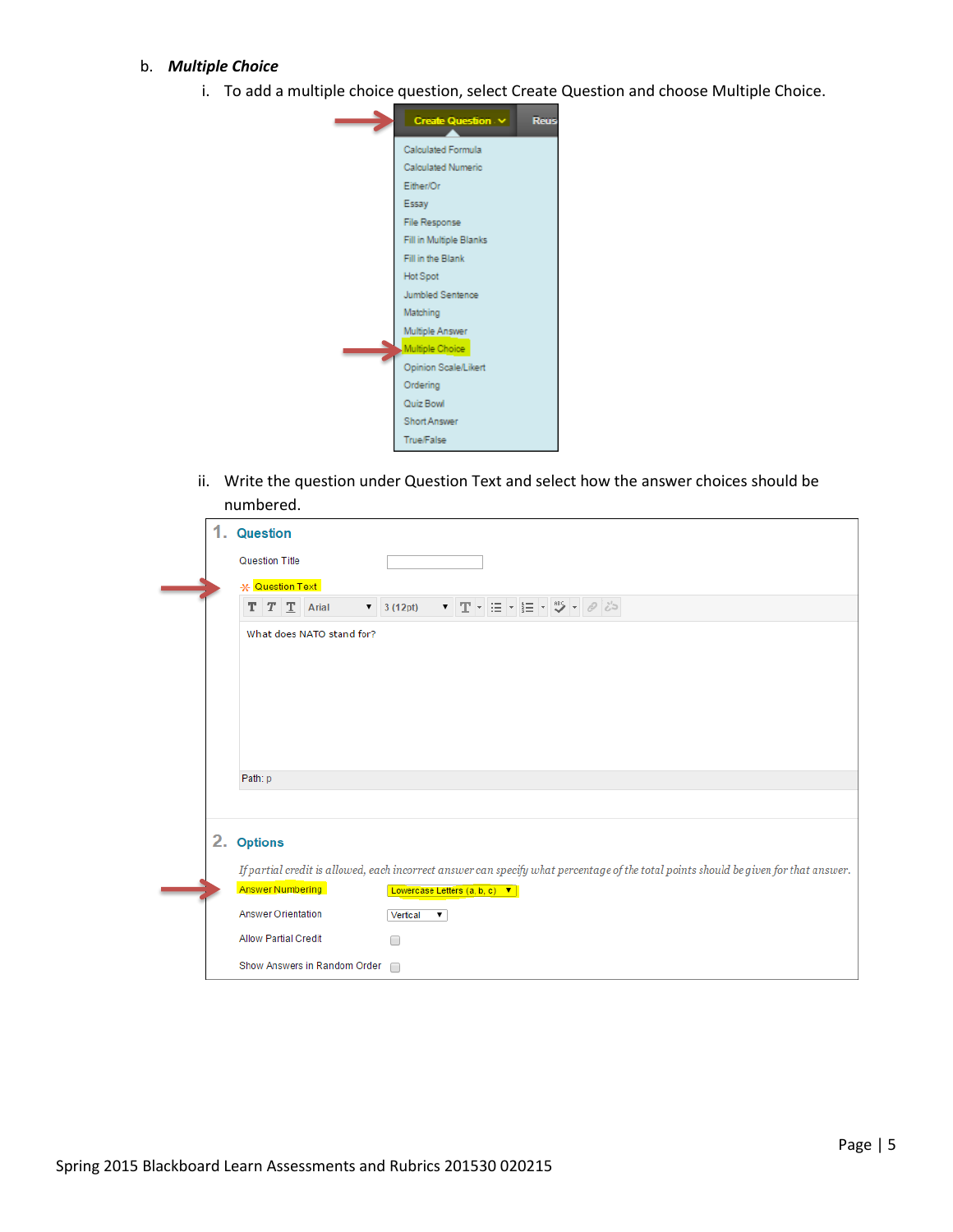## b. *Multiple Choice*

i. To add a multiple choice question, select Create Question and choose Multiple Choice.



ii. Write the question under Question Text and select how the answer choices should be numbered.

|  | <b>Question</b>                                                                                                                      |
|--|--------------------------------------------------------------------------------------------------------------------------------------|
|  |                                                                                                                                      |
|  | Question Title                                                                                                                       |
|  | * Question Text                                                                                                                      |
|  | ▼ 3 (12pt) ▼ T マ 三 マ 三 マ ツ マ ク じっ<br>$T$ $T$ $T$ Arial                                                                               |
|  | What does NATO stand for?                                                                                                            |
|  | Path: p                                                                                                                              |
|  |                                                                                                                                      |
|  | 2. Options                                                                                                                           |
|  | If partial credit is allowed, each incorrect answer can specify what percentage of the total points should be given for that answer. |
|  | <b>Answer Numbering</b><br>Lowercase Letters (a, b, c) ▼                                                                             |
|  | <b>Answer Orientation</b><br>Vertical<br>▼                                                                                           |
|  | <b>Allow Partial Credit</b><br>□                                                                                                     |
|  | Show Answers in Random Order<br>$\Box$                                                                                               |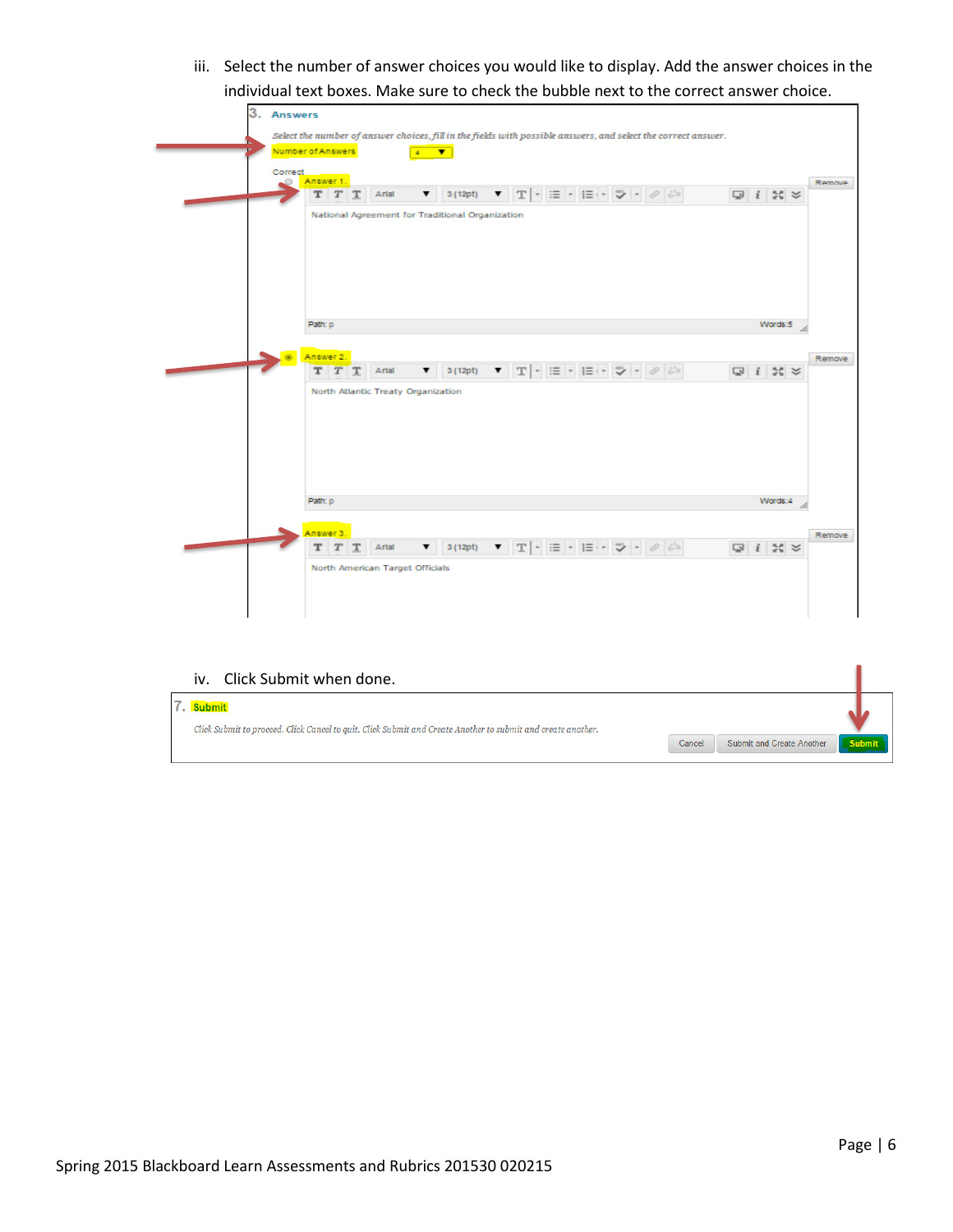iii. Select the number of answer choices you would like to display. Add the answer choices in the individual text boxes. Make sure to check the bubble next to the correct answer choice.

| 3. Answers |                                                                                                                                                                                                                                                                                                                                                                                                                                                                                                                                                     |                       |        |
|------------|-----------------------------------------------------------------------------------------------------------------------------------------------------------------------------------------------------------------------------------------------------------------------------------------------------------------------------------------------------------------------------------------------------------------------------------------------------------------------------------------------------------------------------------------------------|-----------------------|--------|
|            | Select the number of answer choices, fill in the fields with possible answers, and select the correct answer.                                                                                                                                                                                                                                                                                                                                                                                                                                       |                       |        |
|            | Number of Answers<br>$4 - \nabla$                                                                                                                                                                                                                                                                                                                                                                                                                                                                                                                   |                       |        |
|            | Correct<br>Answer 1.<br>$\circ$                                                                                                                                                                                                                                                                                                                                                                                                                                                                                                                     |                       | Remove |
|            | $T$ $\sim$<br>$\mathcal O$<br>125<br>т<br>T<br>Artal<br>3(12pt)<br>т<br>▼<br>▼                                                                                                                                                                                                                                                                                                                                                                                                                                                                      | $Q$ $i$ $N$ $\approx$ |        |
|            | National Agreement for Traditional Organization                                                                                                                                                                                                                                                                                                                                                                                                                                                                                                     |                       |        |
|            |                                                                                                                                                                                                                                                                                                                                                                                                                                                                                                                                                     |                       |        |
|            |                                                                                                                                                                                                                                                                                                                                                                                                                                                                                                                                                     |                       |        |
|            |                                                                                                                                                                                                                                                                                                                                                                                                                                                                                                                                                     |                       |        |
|            |                                                                                                                                                                                                                                                                                                                                                                                                                                                                                                                                                     |                       |        |
|            | Path: p                                                                                                                                                                                                                                                                                                                                                                                                                                                                                                                                             | Words:5               |        |
|            |                                                                                                                                                                                                                                                                                                                                                                                                                                                                                                                                                     |                       |        |
|            | Answer 2.<br>$3\, (12pt) \qquad \blacktriangledown \qquad \boxed{\textbf{T}} \qquad \blacktriangledown \qquad \boxed{\equiv} \qquad \blacktriangledown \qquad \boxed{\equiv} \qquad \blacktriangledown \qquad \boxed{\textbf{a}^{\textbf{c}} \qquad \textbf{b}^{\textbf{c}} \qquad \textbf{c}^{\textbf{c}} \qquad \textbf{c}^{\textbf{c}} \qquad \textbf{d}^{\textbf{c}} \qquad \textbf{c}^{\textbf{c}} \qquad \textbf{c}^{\textbf{c}} \qquad \textbf{c}^{\textbf{c}} \qquad \textbf{c}^{\textbf{c}} \qquad \textbf{c$<br>т<br>T<br>Artal<br>▼<br>т | $Q$ $i$ $\approx$     | Remove |
|            | North Atlantic Treaty Organization                                                                                                                                                                                                                                                                                                                                                                                                                                                                                                                  |                       |        |
|            |                                                                                                                                                                                                                                                                                                                                                                                                                                                                                                                                                     |                       |        |
|            |                                                                                                                                                                                                                                                                                                                                                                                                                                                                                                                                                     |                       |        |
|            |                                                                                                                                                                                                                                                                                                                                                                                                                                                                                                                                                     |                       |        |
|            |                                                                                                                                                                                                                                                                                                                                                                                                                                                                                                                                                     |                       |        |
|            |                                                                                                                                                                                                                                                                                                                                                                                                                                                                                                                                                     |                       |        |
|            | Path: p                                                                                                                                                                                                                                                                                                                                                                                                                                                                                                                                             | Words:4               |        |
|            | Answer 3.                                                                                                                                                                                                                                                                                                                                                                                                                                                                                                                                           |                       | Remove |
|            | $\mathbb{T} \mid \cdot \mid \Xi \mid \cdot \mid \Xi \mid \cdot \mid \psi \mid \cdot \mid \mathcal{O} \mid \mathcal{E}$<br>Artal<br>3(12pt)<br>$\mathbf{v}$<br>т<br>T<br>▼                                                                                                                                                                                                                                                                                                                                                                           | $Q$ $i$ $N$ $\approx$ |        |
|            | North American Target Officials                                                                                                                                                                                                                                                                                                                                                                                                                                                                                                                     |                       |        |
|            |                                                                                                                                                                                                                                                                                                                                                                                                                                                                                                                                                     |                       |        |
|            |                                                                                                                                                                                                                                                                                                                                                                                                                                                                                                                                                     |                       |        |

| Click Submit when done.<br>iv.                                                                                            |        |                           |  |
|---------------------------------------------------------------------------------------------------------------------------|--------|---------------------------|--|
| 7. Submit<br>Click Submit to proceed. Click Cancel to quit. Click Submit and Create Another to submit and create another. |        |                           |  |
|                                                                                                                           | Cancel | Submit and Create Another |  |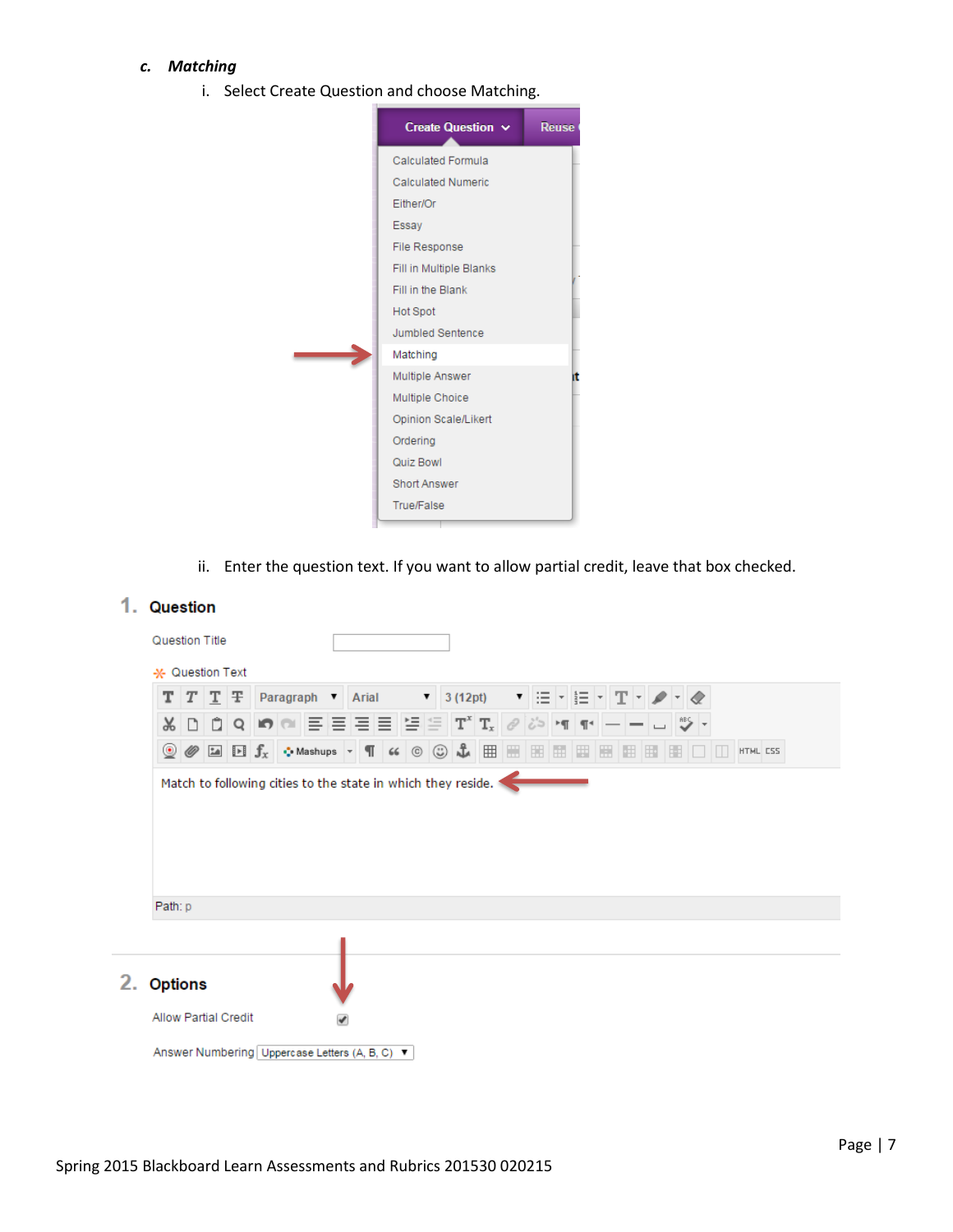## *c. Matching*

i. Select Create Question and choose Matching.

| Create Question $\sim$    | Reuse |
|---------------------------|-------|
| Calculated Formula        |       |
| <b>Calculated Numeric</b> |       |
| Either/Or                 |       |
| Essay                     |       |
| File Response             |       |
| Fill in Multiple Blanks   |       |
| Fill in the Blank         |       |
| <b>Hot Spot</b>           |       |
| Jumbled Sentence          |       |
| Matching                  |       |
| Multiple Answer           |       |
| Multiple Choice           |       |
| Opinion Scale/Likert      |       |
| Ordering                  |       |
| Quiz Bowl                 |       |
| <b>Short Answer</b>       |       |
| <b>True/False</b>         |       |

ii. Enter the question text. If you want to allow partial credit, leave that box checked.

## 1. Question

|                | $T$ $T$ $T$ $T$ |  |  |  | Paragraph Arial                                                                                   |  | $\bullet$ 3 (12pt) |                                                                                                                                                                                                                                                                                                                                                                                                                                                                                                                                                                                                                                            | ▼日・巨・エー/                                   |  |   |    |   |  |          |
|----------------|-----------------|--|--|--|---------------------------------------------------------------------------------------------------|--|--------------------|--------------------------------------------------------------------------------------------------------------------------------------------------------------------------------------------------------------------------------------------------------------------------------------------------------------------------------------------------------------------------------------------------------------------------------------------------------------------------------------------------------------------------------------------------------------------------------------------------------------------------------------------|--------------------------------------------|--|---|----|---|--|----------|
| X              | DDQ             |  |  |  | $ \Theta  \otimes   \equiv   \equiv   \equiv   \equiv   \equiv   \mathbf{T}^x   \mathbf{T}_x    $ |  |                    | $\mathscr O$                                                                                                                                                                                                                                                                                                                                                                                                                                                                                                                                                                                                                               | $ \delta \rangle$ in the $ \delta \rangle$ |  |   |    |   |  |          |
|                |                 |  |  |  |                                                                                                   |  |                    | $\textcircled{\tiny{\textcircled{\#}}}\ \textcircled{\tiny{\textcircled{\#}}}\ \textcircled{\tiny{\textcircled{\#}}}\ \textcircled{\tiny{\textcircled{\#}}}\ \textcircled{\tiny{\textcircled{\#}}}\ \textcircled{\tiny{\textcircled{\#}}}\ \textcircled{\tiny{\textcircled{\#}}}\ \textcircled{\tiny{\textcircled{\#}}}\ \textcircled{\tiny{\textcircled{\#}}}\ \textcircled{\tiny{\textcircled{\#}}}\ \textcircled{\tiny{\textcircled{\#}}}\ \textcircled{\tiny{\textcircled{\#}}}\ \textcircled{\tiny{\textcircled{\#}}}\ \textcircled{\tiny{\textcircled{\#}}}\ \textcircled{\tiny{\textcircled{\#}}}\ \textcircled{\tiny{\textcircled$ |                                            |  | 性 | E. | 围 |  | HTML CSS |
|                |                 |  |  |  |                                                                                                   |  |                    |                                                                                                                                                                                                                                                                                                                                                                                                                                                                                                                                                                                                                                            |                                            |  |   |    |   |  |          |
|                |                 |  |  |  |                                                                                                   |  |                    |                                                                                                                                                                                                                                                                                                                                                                                                                                                                                                                                                                                                                                            |                                            |  |   |    |   |  |          |
| Path: p        |                 |  |  |  |                                                                                                   |  |                    |                                                                                                                                                                                                                                                                                                                                                                                                                                                                                                                                                                                                                                            |                                            |  |   |    |   |  |          |
| <b>Options</b> |                 |  |  |  |                                                                                                   |  |                    |                                                                                                                                                                                                                                                                                                                                                                                                                                                                                                                                                                                                                                            |                                            |  |   |    |   |  |          |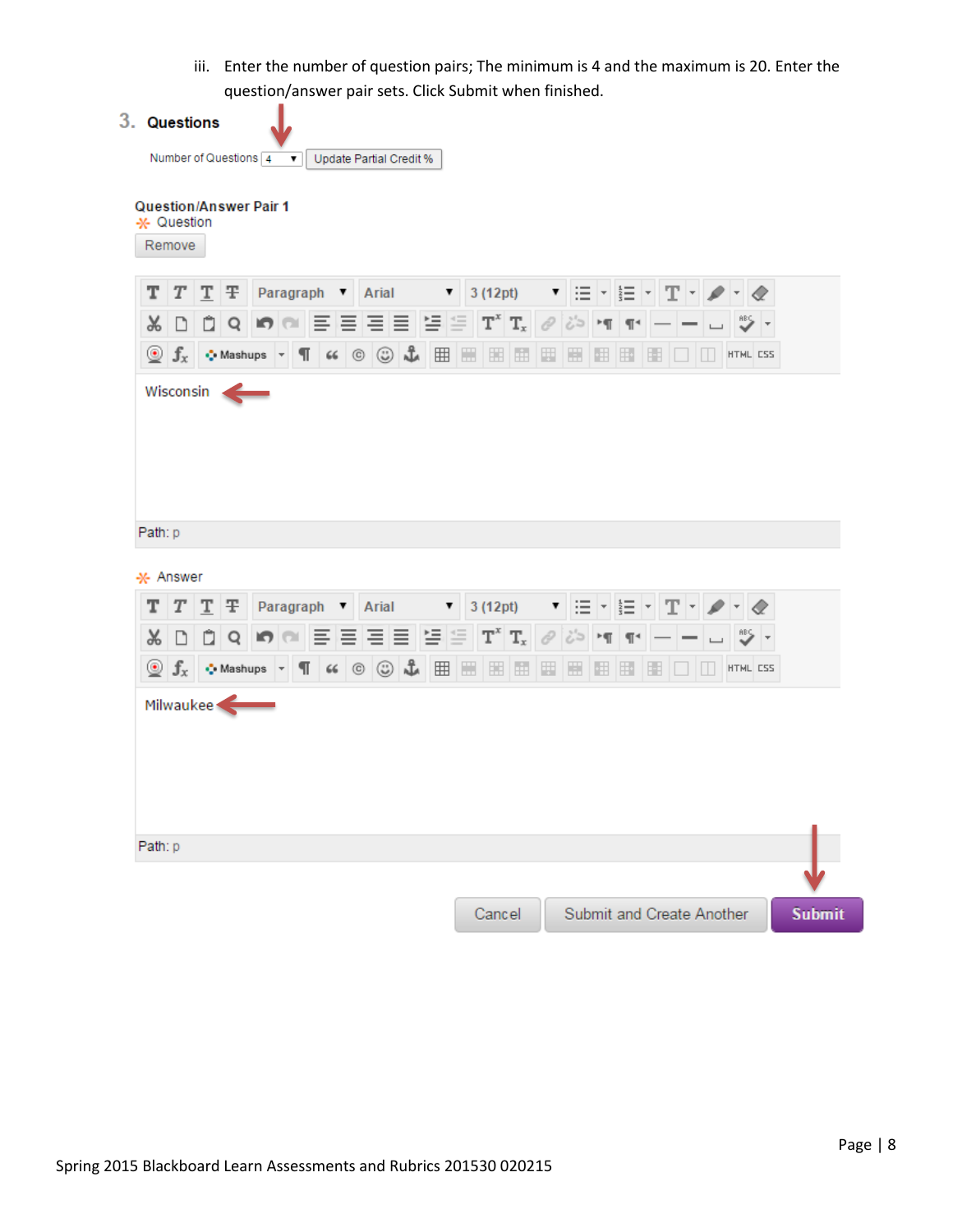iii. Enter the number of question pairs; The minimum is 4 and the maximum is 20. Enter the question/answer pair sets. Click Submit when finished.



Cancel

Submit and Create Another

**Submit**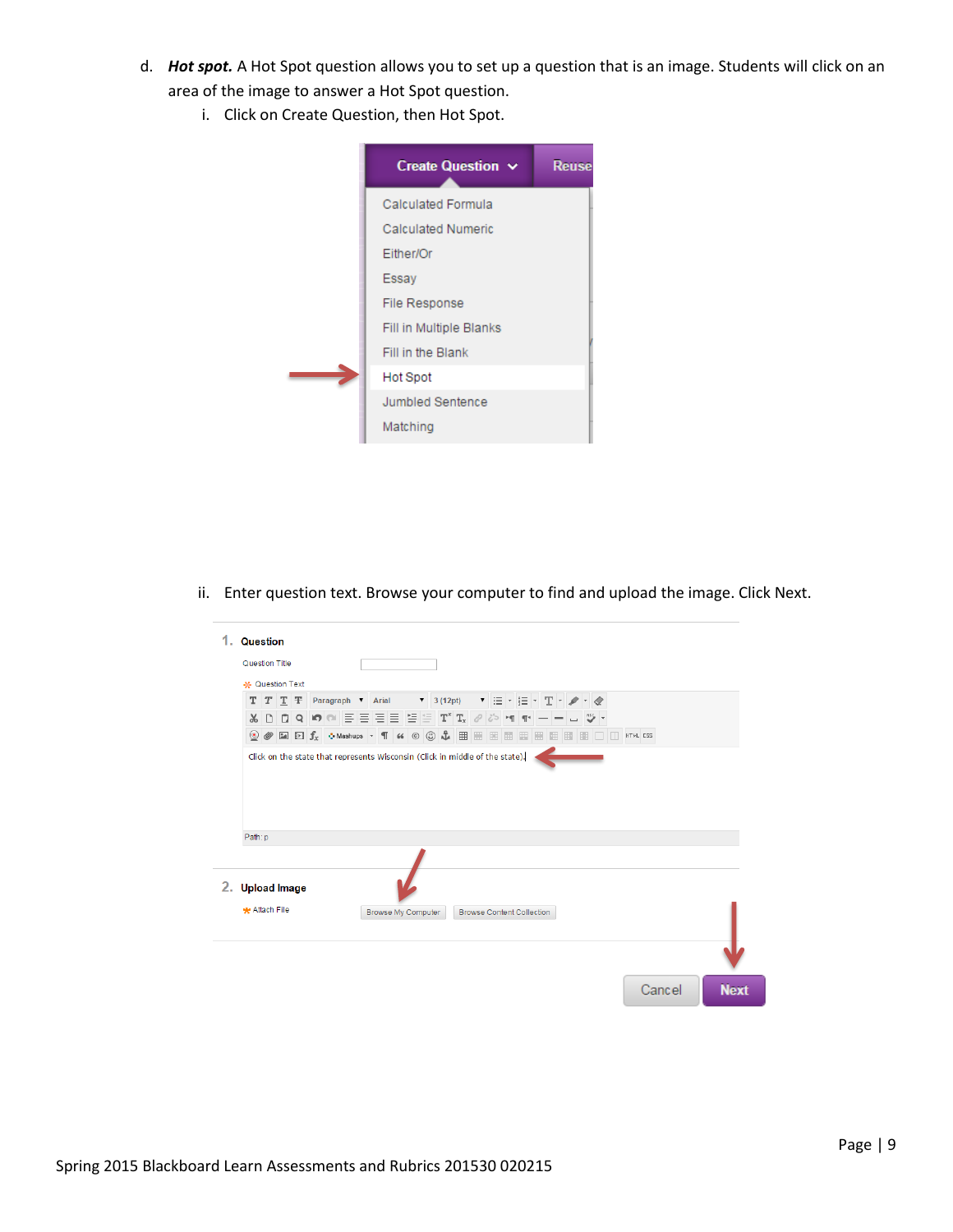- d. *Hot spot.* A Hot Spot question allows you to set up a question that is an image. Students will click on an area of the image to answer a Hot Spot question.
	- i. Click on Create Question, then Hot Spot.



ii. Enter question text. Browse your computer to find and upload the image. Click Next.